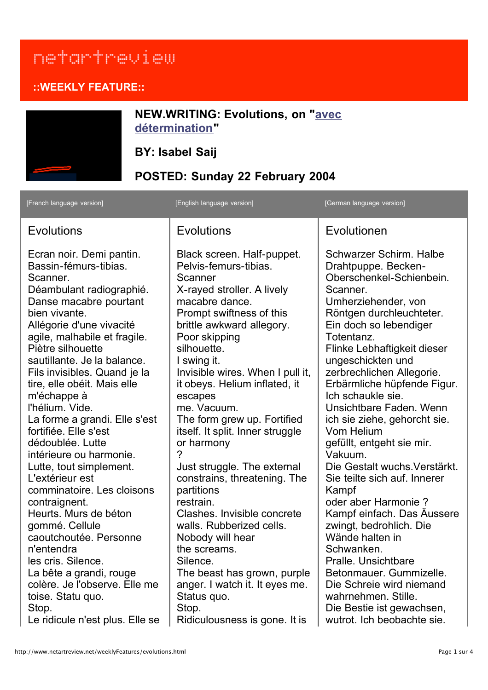## netartreview

## **::WEEKLY FEATURE::**



## **[NEW.WRITING: Evolutions, on "avec](http://www.gratin.org/as/avecdetermination/index.html) détermination"**

**BY: Isabel Saij**

## **POSTED: Sunday 22 February 2004**

| Evolutions<br>Evolutions                                                                                                                                                                                                                                                                                                                                                                                                                                                                                                                                                                                                                                                                                                                                                                                                                                                                                                                                                                                                                               | Evolutionen                                                                                                                                                                                                                                                                                                                                                                                                                                                                                                                                                                                                                                                                                                                                                                                                                                                                                                                                                                                                                                                                                                                                                                                                                                                                                        |
|--------------------------------------------------------------------------------------------------------------------------------------------------------------------------------------------------------------------------------------------------------------------------------------------------------------------------------------------------------------------------------------------------------------------------------------------------------------------------------------------------------------------------------------------------------------------------------------------------------------------------------------------------------------------------------------------------------------------------------------------------------------------------------------------------------------------------------------------------------------------------------------------------------------------------------------------------------------------------------------------------------------------------------------------------------|----------------------------------------------------------------------------------------------------------------------------------------------------------------------------------------------------------------------------------------------------------------------------------------------------------------------------------------------------------------------------------------------------------------------------------------------------------------------------------------------------------------------------------------------------------------------------------------------------------------------------------------------------------------------------------------------------------------------------------------------------------------------------------------------------------------------------------------------------------------------------------------------------------------------------------------------------------------------------------------------------------------------------------------------------------------------------------------------------------------------------------------------------------------------------------------------------------------------------------------------------------------------------------------------------|
|                                                                                                                                                                                                                                                                                                                                                                                                                                                                                                                                                                                                                                                                                                                                                                                                                                                                                                                                                                                                                                                        |                                                                                                                                                                                                                                                                                                                                                                                                                                                                                                                                                                                                                                                                                                                                                                                                                                                                                                                                                                                                                                                                                                                                                                                                                                                                                                    |
| Ecran noir. Demi pantin.<br>Bassin-fémurs-tibias.<br>Pelvis-femurs-tibias.<br>Scanner<br>Scanner.<br>Déambulant radiographié.<br>macabre dance.<br>Danse macabre pourtant<br>bien vivante.<br>Allégorie d'une vivacité<br>agile, malhabile et fragile.<br>Poor skipping<br>Piètre silhouette<br>silhouette.<br>sautillante. Je la balance.<br>I swing it.<br>Fils invisibles. Quand je la<br>tire, elle obéit. Mais elle<br>m'échappe à<br>escapes<br>l'hélium. Vide.<br>me. Vacuum.<br>La forme a grandi. Elle s'est<br>fortifiée. Elle s'est<br>dédoublée. Lutte<br>or harmony<br>?<br>intérieure ou harmonie.<br>Lutte, tout simplement.<br>L'extérieur est<br>comminatoire. Les cloisons<br>partitions<br>restrain.<br>contraignent.<br>Heurts. Murs de béton<br>gommé. Cellule<br>caoutchoutée. Personne<br>Nobody will hear<br>the screams.<br>n'entendra<br>Silence.<br>les cris. Silence.<br>La bête a grandi, rouge<br>colère. Je l'observe. Elle me<br>toise. Statu quo.<br>Status quo.<br>Stop.<br>Stop.<br>Le ridicule n'est plus. Elle se | Schwarzer Schirm, Halbe<br>Black screen. Half-puppet.<br>Drahtpuppe. Becken-<br>Oberschenkel-Schienbein.<br>X-rayed stroller. A lively<br>Scanner.<br>Umherziehender, von<br>Prompt swiftness of this<br>Röntgen durchleuchteter.<br>brittle awkward allegory.<br>Ein doch so lebendiger<br>Totentanz.<br>Flinke Lebhaftigkeit dieser<br>ungeschickten und<br>Invisible wires. When I pull it,<br>zerbrechlichen Allegorie.<br>it obeys. Helium inflated, it<br>Erbärmliche hüpfende Figur.<br>Ich schaukle sie.<br>Unsichtbare Faden. Wenn<br>The form grew up. Fortified<br>ich sie ziehe, gehorcht sie.<br><b>Vom Helium</b><br>itself. It split. Inner struggle<br>gefüllt, entgeht sie mir.<br>Vakuum.<br>Die Gestalt wuchs. Verstärkt.<br>Just struggle. The external<br>Sie teilte sich auf. Innerer<br>constrains, threatening. The<br>Kampf<br>oder aber Harmonie?<br>Clashes. Invisible concrete<br>Kampf einfach. Das Äussere<br>zwingt, bedrohlich. Die<br>walls. Rubberized cells.<br>Wände halten in<br>Schwanken.<br>Pralle. Unsichtbare<br>Betonmauer. Gummizelle.<br>The beast has grown, purple<br>anger. I watch it. It eyes me.<br>Die Schreie wird niemand<br>wahrnehmen. Stille.<br>Die Bestie ist gewachsen,<br>Ridiculousness is gone. It is<br>wutrot. Ich beobachte sie. |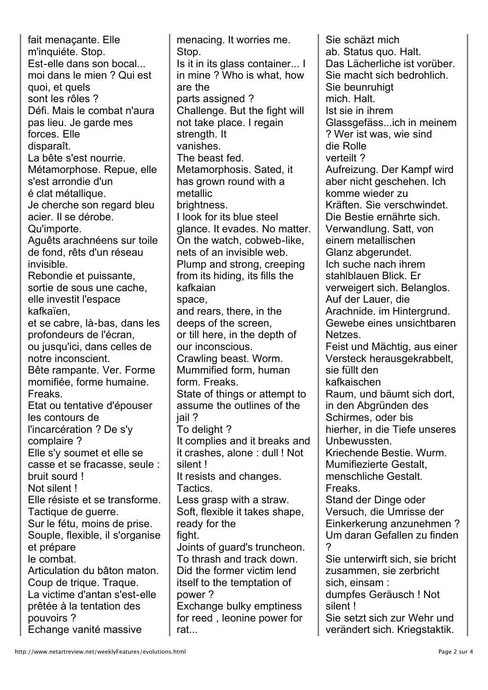fait menaçante. Elle m'inquiéte. Stop. Est-elle dans son bocal... moi dans le mien ? Qui est quoi, et quels sont les rôles ? Défi. Mais le combat n'aura pas lieu. Je garde mes forces. Elle disparaît. La bête s'est nourrie. Métamorphose. Repue, elle s'est arrondie d'un é clat métallique. Je cherche son regard bleu acier. Il se dérobe. Qu'importe. Aguêts arachnéens sur toile de fond, rêts d'un réseau invisible. Rebondie et puissante, sortie de sous une cache, elle investit l'espace kafkaïen, et se cabre, là-bas, dans les profondeurs de l'écran, ou jusqu'ici, dans celles de notre inconscient. Bête rampante. Ver. Forme momifiée, forme humaine. Freaks. Etat ou tentative d'épouser les contours de l'incarcération ? De s'y complaire ? Elle s'y soumet et elle se casse et se fracasse, seule : bruit sourd ! Not silent ! Elle résiste et se transforme. Tactique de guerre. Sur le fétu, moins de prise. Souple, flexible, il s'organise et prépare le combat. Articulation du bâton maton. Coup de trique. Traque. La victime d'antan s'est-elle prêtée à la tentation des pouvoirs ? Echange vanité massive

menacing. It worries me. Stop. Is it in its glass container... I in mine ? Who is what, how are the parts assigned ? Challenge. But the fight will not take place. I regain strength. It vanishes. The beast fed. Metamorphosis. Sated, it has grown round with a metallic brightness. I look for its blue steel glance. It evades. No matter. On the watch, cobweb-like, nets of an invisible web. Plump and strong, creeping from its hiding, its fills the kafkaian space, and rears, there, in the deeps of the screen, or till here, in the depth of our inconscious. Crawling beast. Worm. Mummified form, human form. Freaks. State of things or attempt to assume the outlines of the iail? To delight ? It complies and it breaks and it crashes, alone : dull ! Not silent ! It resists and changes. Tactics. Less grasp with a straw. Soft, flexible it takes shape, ready for the fight. Joints of guard's truncheon. To thrash and track down. Did the former victim lend itself to the temptation of power ? Exchange bulky emptiness for reed , leonine power for rat...

Sie schäzt mich ab. Status quo. Halt. Das Lächerliche ist vorüber. Sie macht sich bedrohlich. Sie beunruhigt mich. Halt. Ist sie in ihrem Glassgefäss...ich in meinem ? Wer ist was, wie sind die Rolle verteilt ? Aufreizung. Der Kampf wird aber nicht geschehen. Ich komme wieder zu Kräften. Sie verschwindet. Die Bestie ernährte sich. Verwandlung. Satt, von einem metallischen Glanz abgerundet. Ich suche nach ihrem stahlblauen Blick. Er verweigert sich. Belanglos. Auf der Lauer, die Arachnide. im Hintergrund. Gewebe eines unsichtbaren Netzes. Feist und Mächtig, aus einer Versteck herausgekrabbelt, sie füllt den kafkaischen Raum, und bäumt sich dort, in den Abgründen des Schirmes, oder bis hierher, in die Tiefe unseres Unbewussten. Kriechende Bestie. Wurm. Mumifiezierte Gestalt, menschliche Gestalt. Freaks. Stand der Dinge oder Versuch, die Umrisse der Einkerkerung anzunehmen ? Um daran Gefallen zu finden ? Sie unterwirft sich, sie bricht zusammen, sie zerbricht sich, einsam : dumpfes Geräusch ! Not silent ! Sie setzt sich zur Wehr und verändert sich. Kriegstaktik.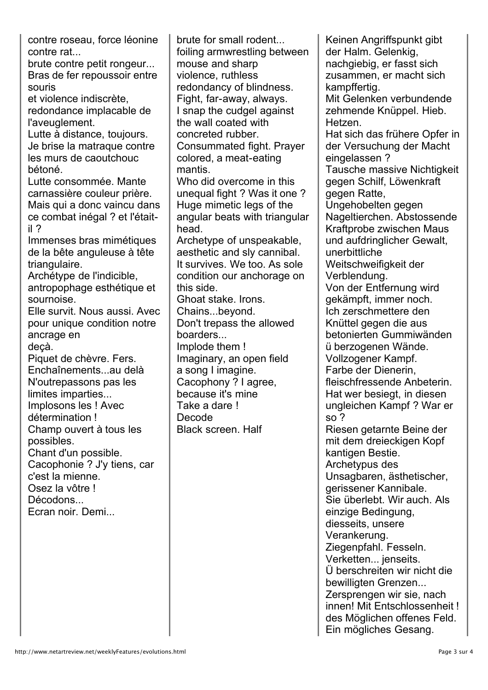contre roseau, force léonine contre rat...

brute contre petit rongeur... Bras de fer repoussoir entre souris

et violence indiscrète,

redondance implacable de l'aveuglement.

Lutte à distance, toujours. Je brise la matraque contre les murs de caoutchouc bétoné.

Lutte consommée. Mante carnassière couleur prière. Mais qui a donc vaincu dans ce combat inégal ? et l'étaitil ?

Immenses bras mimétiques de la bête anguleuse à tête triangulaire.

Archétype de l'indicible, antropophage esthétique et sournoise.

Elle survit. Nous aussi. Avec pour unique condition notre ancrage en deçà.

Piquet de chèvre. Fers. Enchaînements...au delà N'outrepassons pas les limites imparties... Implosons les ! Avec détermination ! Champ ouvert à tous les possibles. Chant d'un possible. Cacophonie ? J'y tiens, car c'est la mienne.

Osez la vôtre ! Décodons...

Ecran noir. Demi...

brute for small rodent... foiling armwrestling between mouse and sharp violence, ruthless redondancy of blindness. Fight, far-away, always. I snap the cudgel against the wall coated with concreted rubber. Consummated fight. Prayer colored, a meat-eating mantis. Who did overcome in this unequal fight ? Was it one ? Huge mimetic legs of the angular beats with triangular head. Archetype of unspeakable, aesthetic and sly cannibal. It survives. We too. As sole condition our anchorage on this side. Ghoat stake. Irons. Chains...beyond. Don't trepass the allowed boarders... Implode them ! Imaginary, an open field a song I imagine. Cacophony ? I agree, because it's mine Take a dare ! Decode Black screen. Half

zusammen, er macht sich kampffertig. Mit Gelenken verbundende zehmende Knüppel. Hieb. Hetzen. Hat sich das frühere Opfer in der Versuchung der Macht eingelassen ? Tausche massive Nichtigkeit gegen Schilf, Löwenkraft gegen Ratte, Ungehobelten gegen Nageltierchen. Abstossende Kraftprobe zwischen Maus und aufdringlicher Gewalt, unerbittliche Weitschweifigkeit der Verblendung. Von der Entfernung wird gekämpft, immer noch. Ich zerschmettere den Knüttel gegen die aus betonierten Gummiwänden ü berzogenen Wände. Vollzogener Kampf. Farbe der Dienerin, fleischfressende Anbeterin. Hat wer besiegt, in diesen ungleichen Kampf ? War er so ? Riesen getarnte Beine der mit dem dreieckigen Kopf kantigen Bestie. Archetypus des Unsagbaren, ästhetischer, gerissener Kannibale. Sie überlebt. Wir auch. Als einzige Bedingung, diesseits, unsere Verankerung. Ziegenpfahl. Fesseln. Verketten... jenseits. Ü berschreiten wir nicht die bewilligten Grenzen... Zersprengen wir sie, nach innen! Mit Entschlossenheit ! des Möglichen offenes Feld. Ein mögliches Gesang.

Keinen Angriffspunkt gibt

der Halm. Gelenkig, nachgiebig, er fasst sich